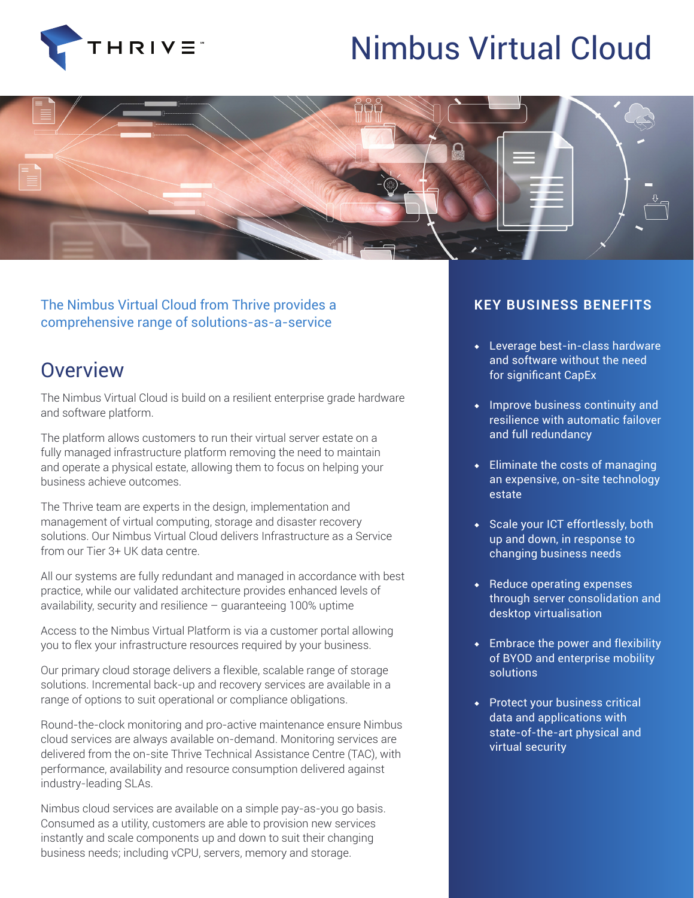

## Nimbus Virtual Cloud



The Nimbus Virtual Cloud from Thrive provides a comprehensive range of solutions-as-a-service

## **Overview**

The Nimbus Virtual Cloud is build on a resilient enterprise grade hardware and software platform.

The platform allows customers to run their virtual server estate on a fully managed infrastructure platform removing the need to maintain and operate a physical estate, allowing them to focus on helping your business achieve outcomes.

The Thrive team are experts in the design, implementation and management of virtual computing, storage and disaster recovery solutions. Our Nimbus Virtual Cloud delivers Infrastructure as a Service from our Tier 3+ UK data centre.

All our systems are fully redundant and managed in accordance with best practice, while our validated architecture provides enhanced levels of availability, security and resilience – guaranteeing 100% uptime

Access to the Nimbus Virtual Platform is via a customer portal allowing you to flex your infrastructure resources required by your business.

Our primary cloud storage delivers a flexible, scalable range of storage solutions. Incremental back-up and recovery services are available in a range of options to suit operational or compliance obligations.

Round-the-clock monitoring and pro-active maintenance ensure Nimbus cloud services are always available on-demand. Monitoring services are delivered from the on-site Thrive Technical Assistance Centre (TAC), with performance, availability and resource consumption delivered against industry-leading SLAs.

Nimbus cloud services are available on a simple pay-as-you go basis. Consumed as a utility, customers are able to provision new services instantly and scale components up and down to suit their changing business needs; including vCPU, servers, memory and storage.

## **KEY BUSINESS BENEFITS**

- ◆ Leverage best-in-class hardware and software without the need for significant CapEx
- ◆ Improve business continuity and resilience with automatic failover and full redundancy
- $\overline{\bullet}$  Eliminate the costs of managing an expensive, on-site technology estate
- ◆ Scale your ICT effortlessly, both up and down, in response to changing business needs
- ◆ Reduce operating expenses through server consolidation and desktop virtualisation
- ◆ Embrace the power and flexibility of BYOD and enterprise mobility solutions
- ◆ Protect your business critical data and applications with state-of-the-art physical and virtual security